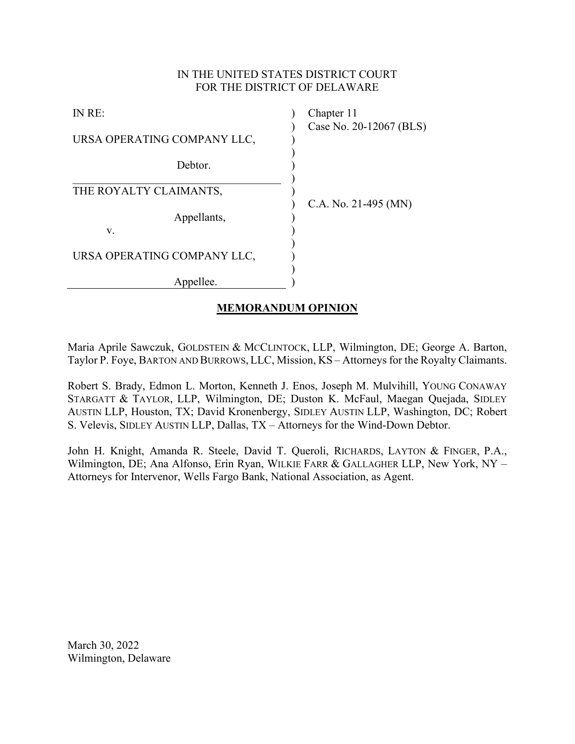# IN THE UNITED STATES DISTRICT COURT FOR THE DISTRICT OF DELAWARE

| IN RE:                      | Chapter 11              |
|-----------------------------|-------------------------|
| URSA OPERATING COMPANY LLC, | Case No. 20-12067 (BLS) |
| Debtor.                     |                         |
| THE ROYALTY CLAIMANTS,      | C.A. No. 21-495 (MN)    |
| Appellants,<br>V.           |                         |
|                             |                         |
| URSA OPERATING COMPANY LLC, |                         |
| Appellee.                   |                         |

# **MEMORANDUM OPINION**

Maria Aprile Sawczuk, GOLDSTEIN & MCCLINTOCK, LLP, Wilmington, DE; George A. Barton, Taylor P. Foye, BARTON AND BURROWS, LLC, Mission, KS – Attorneys for the Royalty Claimants.

Robert S. Brady, Edmon L. Morton, Kenneth J. Enos, Joseph M. Mulvihill, YOUNG CONAWAY STARGATT & TAYLOR, LLP, Wilmington, DE; Duston K. McFaul, Maegan Quejada, SIDLEY AUSTIN LLP, Houston, TX; David Kronenbergy, SIDLEY AUSTIN LLP, Washington, DC; Robert S. Velevis, SIDLEY AUSTIN LLP, Dallas, TX – Attorneys for the Wind-Down Debtor.

John H. Knight, Amanda R. Steele, David T. Queroli, RICHARDS, LAYTON & FINGER, P.A., Wilmington, DE; Ana Alfonso, Erin Ryan, WILKIE FARR & GALLAGHER LLP, New York, NY – Attorneys for Intervenor, Wells Fargo Bank, National Association, as Agent.

March 30, 2022 Wilmington, Delaware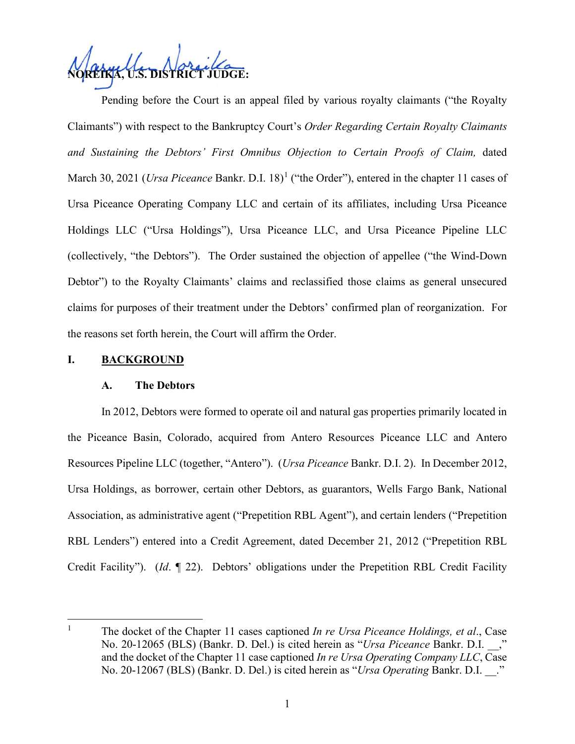**NOREIKA, U.S. DISTRICT JUDGE:**

Pending before the Court is an appeal filed by various royalty claimants ("the Royalty Claimants") with respect to the Bankruptcy Court's *Order Regarding Certain Royalty Claimants*  and Sustaining the Debtors' First Omnibus Objection to Certain Proofs of Claim, dated March 30, 202[1](#page-1-0) (*Ursa Piceance* Bankr. D.I. 18)<sup>1</sup> ("the Order"), entered in the chapter 11 cases of Ursa Piceance Operating Company LLC and certain of its affiliates, including Ursa Piceance Holdings LLC ("Ursa Holdings"), Ursa Piceance LLC, and Ursa Piceance Pipeline LLC (collectively, "the Debtors"). The Order sustained the objection of appellee ("the Wind-Down Debtor") to the Royalty Claimants' claims and reclassified those claims as general unsecured claims for purposes of their treatment under the Debtors' confirmed plan of reorganization. For the reasons set forth herein, the Court will affirm the Order.

## **I. BACKGROUND**

## **A. The Debtors**

In 2012, Debtors were formed to operate oil and natural gas properties primarily located in the Piceance Basin, Colorado, acquired from Antero Resources Piceance LLC and Antero Resources Pipeline LLC (together, "Antero"). (*Ursa Piceance* Bankr. D.I. 2). In December 2012, Ursa Holdings, as borrower, certain other Debtors, as guarantors, Wells Fargo Bank, National Association, as administrative agent ("Prepetition RBL Agent"), and certain lenders ("Prepetition RBL Lenders") entered into a Credit Agreement, dated December 21, 2012 ("Prepetition RBL Credit Facility"). (*Id*. ¶ 22). Debtors' obligations under the Prepetition RBL Credit Facility

<span id="page-1-0"></span><sup>1</sup> The docket of the Chapter 11 cases captioned *In re Ursa Piceance Holdings, et al*., Case No. 20-12065 (BLS) (Bankr. D. Del.) is cited herein as "*Ursa Piceance* Bankr. D.I. \_\_," and the docket of the Chapter 11 case captioned *In re Ursa Operating Company LLC*, Case No. 20-12067 (BLS) (Bankr. D. Del.) is cited herein as "*Ursa Operating* Bankr. D.I. \_\_."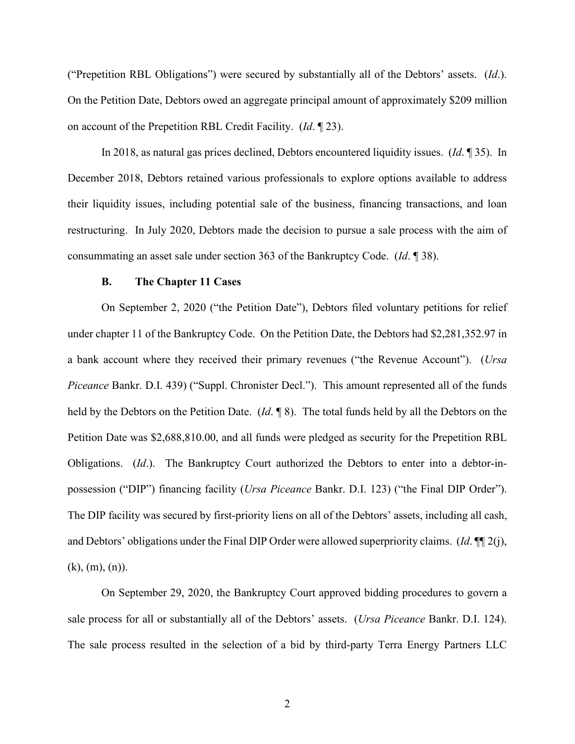("Prepetition RBL Obligations") were secured by substantially all of the Debtors' assets. (*Id*.). On the Petition Date, Debtors owed an aggregate principal amount of approximately \$209 million on account of the Prepetition RBL Credit Facility. (*Id*. ¶ 23).

In 2018, as natural gas prices declined, Debtors encountered liquidity issues. (*Id*. ¶ 35). In December 2018, Debtors retained various professionals to explore options available to address their liquidity issues, including potential sale of the business, financing transactions, and loan restructuring. In July 2020, Debtors made the decision to pursue a sale process with the aim of consummating an asset sale under section 363 of the Bankruptcy Code. (*Id*. ¶ 38).

#### **B. The Chapter 11 Cases**

On September 2, 2020 ("the Petition Date"), Debtors filed voluntary petitions for relief under chapter 11 of the Bankruptcy Code. On the Petition Date, the Debtors had \$2,281,352.97 in a bank account where they received their primary revenues ("the Revenue Account"). (*Ursa Piceance* Bankr. D.I. 439) ("Suppl. Chronister Decl."). This amount represented all of the funds held by the Debtors on the Petition Date. (*Id*. ¶ 8). The total funds held by all the Debtors on the Petition Date was \$2,688,810.00, and all funds were pledged as security for the Prepetition RBL Obligations. (*Id*.). The Bankruptcy Court authorized the Debtors to enter into a debtor-inpossession ("DIP") financing facility (*Ursa Piceance* Bankr. D.I. 123) ("the Final DIP Order"). The DIP facility was secured by first-priority liens on all of the Debtors' assets, including all cash, and Debtors' obligations under the Final DIP Order were allowed superpriority claims. (*Id*. ¶¶ 2(j),  $(k), (m), (n)$ .

On September 29, 2020, the Bankruptcy Court approved bidding procedures to govern a sale process for all or substantially all of the Debtors' assets. (*Ursa Piceance* Bankr. D.I. 124). The sale process resulted in the selection of a bid by third-party Terra Energy Partners LLC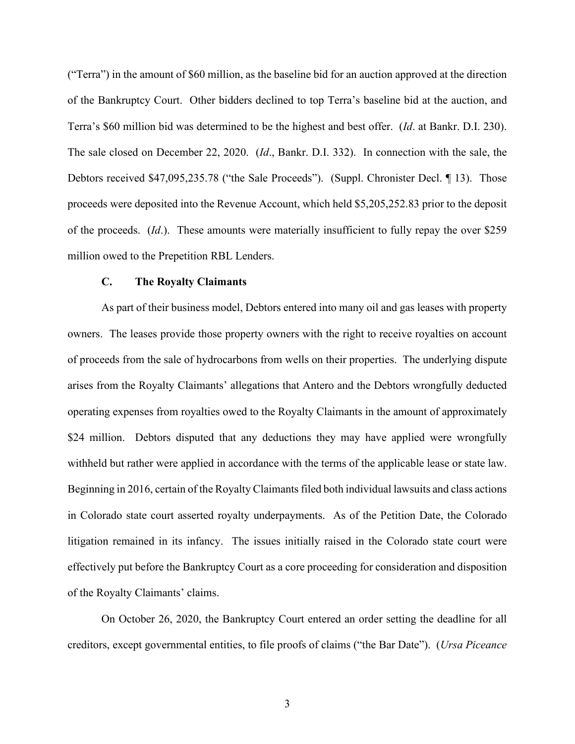("Terra") in the amount of \$60 million, as the baseline bid for an auction approved at the direction of the Bankruptcy Court. Other bidders declined to top Terra's baseline bid at the auction, and Terra's \$60 million bid was determined to be the highest and best offer. (*Id*. at Bankr. D.I. 230). The sale closed on December 22, 2020. (*Id*., Bankr. D.I. 332). In connection with the sale, the Debtors received \$47,095,235.78 ("the Sale Proceeds"). (Suppl. Chronister Decl. ¶ 13). Those proceeds were deposited into the Revenue Account, which held \$5,205,252.83 prior to the deposit of the proceeds. (*Id*.). These amounts were materially insufficient to fully repay the over \$259 million owed to the Prepetition RBL Lenders.

## **C. The Royalty Claimants**

As part of their business model, Debtors entered into many oil and gas leases with property owners. The leases provide those property owners with the right to receive royalties on account of proceeds from the sale of hydrocarbons from wells on their properties. The underlying dispute arises from the Royalty Claimants' allegations that Antero and the Debtors wrongfully deducted operating expenses from royalties owed to the Royalty Claimants in the amount of approximately \$24 million. Debtors disputed that any deductions they may have applied were wrongfully withheld but rather were applied in accordance with the terms of the applicable lease or state law. Beginning in 2016, certain of the Royalty Claimants filed both individual lawsuits and class actions in Colorado state court asserted royalty underpayments. As of the Petition Date, the Colorado litigation remained in its infancy. The issues initially raised in the Colorado state court were effectively put before the Bankruptcy Court as a core proceeding for consideration and disposition of the Royalty Claimants' claims.

On October 26, 2020, the Bankruptcy Court entered an order setting the deadline for all creditors, except governmental entities, to file proofs of claims ("the Bar Date"). (*Ursa Piceance*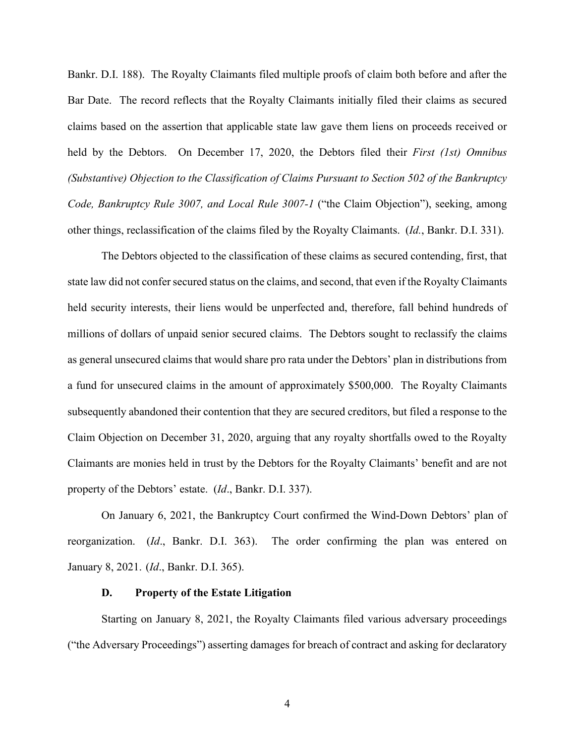Bankr. D.I. 188). The Royalty Claimants filed multiple proofs of claim both before and after the Bar Date. The record reflects that the Royalty Claimants initially filed their claims as secured claims based on the assertion that applicable state law gave them liens on proceeds received or held by the Debtors. On December 17, 2020, the Debtors filed their *First (1st) Omnibus (Substantive) Objection to the Classification of Claims Pursuant to Section 502 of the Bankruptcy Code, Bankruptcy Rule 3007, and Local Rule 3007-1* ("the Claim Objection"), seeking, among other things, reclassification of the claims filed by the Royalty Claimants. (*Id.*, Bankr. D.I. 331).

The Debtors objected to the classification of these claims as secured contending, first, that state law did not confer secured status on the claims, and second, that even if the Royalty Claimants held security interests, their liens would be unperfected and, therefore, fall behind hundreds of millions of dollars of unpaid senior secured claims. The Debtors sought to reclassify the claims as general unsecured claims that would share pro rata under the Debtors' plan in distributions from a fund for unsecured claims in the amount of approximately \$500,000. The Royalty Claimants subsequently abandoned their contention that they are secured creditors, but filed a response to the Claim Objection on December 31, 2020, arguing that any royalty shortfalls owed to the Royalty Claimants are monies held in trust by the Debtors for the Royalty Claimants' benefit and are not property of the Debtors' estate. (*Id*., Bankr. D.I. 337).

On January 6, 2021, the Bankruptcy Court confirmed the Wind-Down Debtors' plan of reorganization. (*Id*., Bankr. D.I. 363). The order confirming the plan was entered on January 8, 2021. (*Id*., Bankr. D.I. 365).

#### **D. Property of the Estate Litigation**

Starting on January 8, 2021, the Royalty Claimants filed various adversary proceedings ("the Adversary Proceedings") asserting damages for breach of contract and asking for declaratory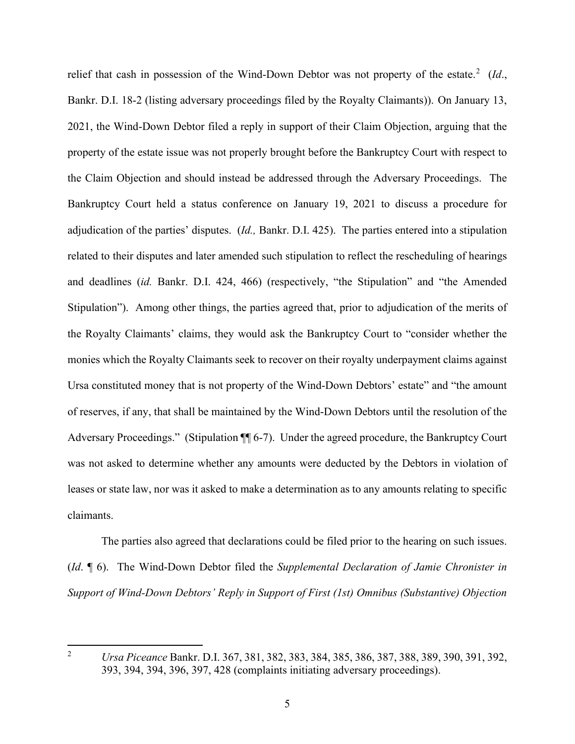relief that cash in possession of the Wind-Down Debtor was not property of the estate.<sup>[2](#page-5-0)</sup> (Id., Bankr. D.I. 18-2 (listing adversary proceedings filed by the Royalty Claimants)). On January 13, 2021, the Wind-Down Debtor filed a reply in support of their Claim Objection, arguing that the property of the estate issue was not properly brought before the Bankruptcy Court with respect to the Claim Objection and should instead be addressed through the Adversary Proceedings. The Bankruptcy Court held a status conference on January 19, 2021 to discuss a procedure for adjudication of the parties' disputes. (*Id.,* Bankr. D.I. 425). The parties entered into a stipulation related to their disputes and later amended such stipulation to reflect the rescheduling of hearings and deadlines (*id.* Bankr. D.I. 424, 466) (respectively, "the Stipulation" and "the Amended Stipulation"). Among other things, the parties agreed that, prior to adjudication of the merits of the Royalty Claimants' claims, they would ask the Bankruptcy Court to "consider whether the monies which the Royalty Claimants seek to recover on their royalty underpayment claims against Ursa constituted money that is not property of the Wind-Down Debtors' estate" and "the amount of reserves, if any, that shall be maintained by the Wind-Down Debtors until the resolution of the Adversary Proceedings." (Stipulation ¶ 6-7). Under the agreed procedure, the Bankruptcy Court was not asked to determine whether any amounts were deducted by the Debtors in violation of leases or state law, nor was it asked to make a determination as to any amounts relating to specific claimants.

The parties also agreed that declarations could be filed prior to the hearing on such issues. (*Id*. ¶ 6). The Wind-Down Debtor filed the *Supplemental Declaration of Jamie Chronister in Support of Wind-Down Debtors' Reply in Support of First (1st) Omnibus (Substantive) Objection* 

<span id="page-5-0"></span><sup>2</sup> *Ursa Piceance* Bankr. D.I. 367, 381, 382, 383, 384, 385, 386, 387, 388, 389, 390, 391, 392, 393, 394, 394, 396, 397, 428 (complaints initiating adversary proceedings).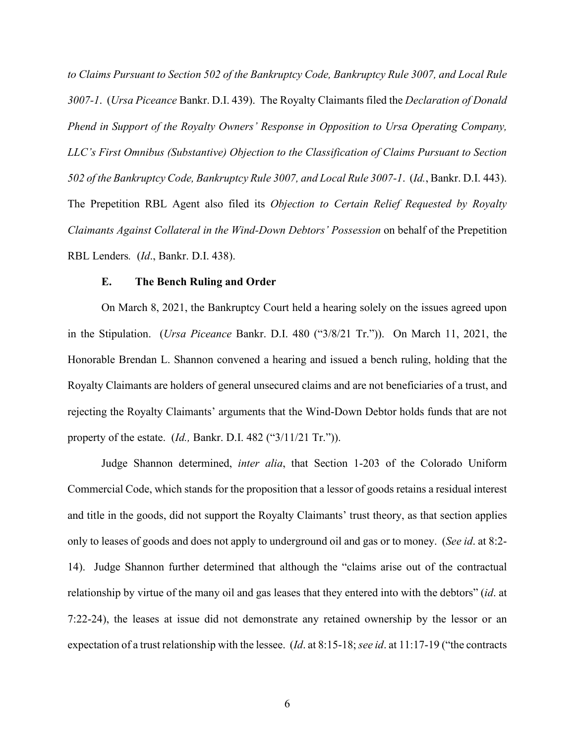*to Claims Pursuant to Section 502 of the Bankruptcy Code, Bankruptcy Rule 3007, and Local Rule 3007-1*. (*Ursa Piceance* Bankr. D.I. 439). The Royalty Claimants filed the *Declaration of Donald Phend in Support of the Royalty Owners' Response in Opposition to Ursa Operating Company, LLC's First Omnibus (Substantive) Objection to the Classification of Claims Pursuant to Section 502 of the Bankruptcy Code, Bankruptcy Rule 3007, and Local Rule 3007-1*. (*Id.*, Bankr. D.I. 443). The Prepetition RBL Agent also filed its *Objection to Certain Relief Requested by Royalty Claimants Against Collateral in the Wind-Down Debtors' Possession* on behalf of the Prepetition RBL Lenders*.* (*Id*., Bankr. D.I. 438).

#### **E. The Bench Ruling and Order**

On March 8, 2021, the Bankruptcy Court held a hearing solely on the issues agreed upon in the Stipulation. (*Ursa Piceance* Bankr. D.I. 480 ("3/8/21 Tr.")). On March 11, 2021, the Honorable Brendan L. Shannon convened a hearing and issued a bench ruling, holding that the Royalty Claimants are holders of general unsecured claims and are not beneficiaries of a trust, and rejecting the Royalty Claimants' arguments that the Wind-Down Debtor holds funds that are not property of the estate. (*Id.,* Bankr. D.I. 482 ("3/11/21 Tr.")).

Judge Shannon determined, *inter alia*, that Section 1-203 of the Colorado Uniform Commercial Code, which stands for the proposition that a lessor of goods retains a residual interest and title in the goods, did not support the Royalty Claimants' trust theory, as that section applies only to leases of goods and does not apply to underground oil and gas or to money. (*See id*. at 8:2- 14). Judge Shannon further determined that although the "claims arise out of the contractual relationship by virtue of the many oil and gas leases that they entered into with the debtors" (*id*. at 7:22-24), the leases at issue did not demonstrate any retained ownership by the lessor or an expectation of a trust relationship with the lessee. (*Id*. at 8:15-18; *see id*. at 11:17-19 ("the contracts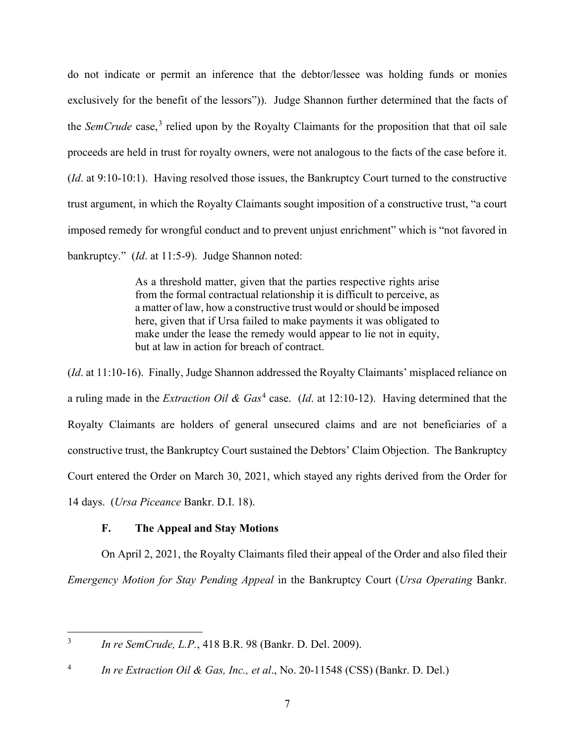do not indicate or permit an inference that the debtor/lessee was holding funds or monies exclusively for the benefit of the lessors")). Judge Shannon further determined that the facts of the *SemCrude* case,<sup>[3](#page-7-0)</sup> relied upon by the Royalty Claimants for the proposition that that oil sale proceeds are held in trust for royalty owners, were not analogous to the facts of the case before it. (*Id*. at 9:10-10:1). Having resolved those issues, the Bankruptcy Court turned to the constructive trust argument, in which the Royalty Claimants sought imposition of a constructive trust, "a court imposed remedy for wrongful conduct and to prevent unjust enrichment" which is "not favored in bankruptcy." (*Id*. at 11:5-9). Judge Shannon noted:

> As a threshold matter, given that the parties respective rights arise from the formal contractual relationship it is difficult to perceive, as a matter of law, how a constructive trust would or should be imposed here, given that if Ursa failed to make payments it was obligated to make under the lease the remedy would appear to lie not in equity, but at law in action for breach of contract.

(*Id*. at 11:10-16). Finally, Judge Shannon addressed the Royalty Claimants' misplaced reliance on a ruling made in the *Extraction Oil & Gas*[4](#page-7-1) case. (*Id*. at 12:10-12). Having determined that the Royalty Claimants are holders of general unsecured claims and are not beneficiaries of a constructive trust, the Bankruptcy Court sustained the Debtors' Claim Objection. The Bankruptcy Court entered the Order on March 30, 2021, which stayed any rights derived from the Order for 14 days. (*Ursa Piceance* Bankr. D.I. 18).

# **F. The Appeal and Stay Motions**

On April 2, 2021, the Royalty Claimants filed their appeal of the Order and also filed their *Emergency Motion for Stay Pending Appeal* in the Bankruptcy Court (*Ursa Operating* Bankr.

<span id="page-7-0"></span><sup>3</sup> *In re SemCrude, L.P.*, 418 B.R. 98 (Bankr. D. Del. 2009).

<span id="page-7-1"></span><sup>4</sup> *In re Extraction Oil & Gas, Inc., et al*., No. 20-11548 (CSS) (Bankr. D. Del.)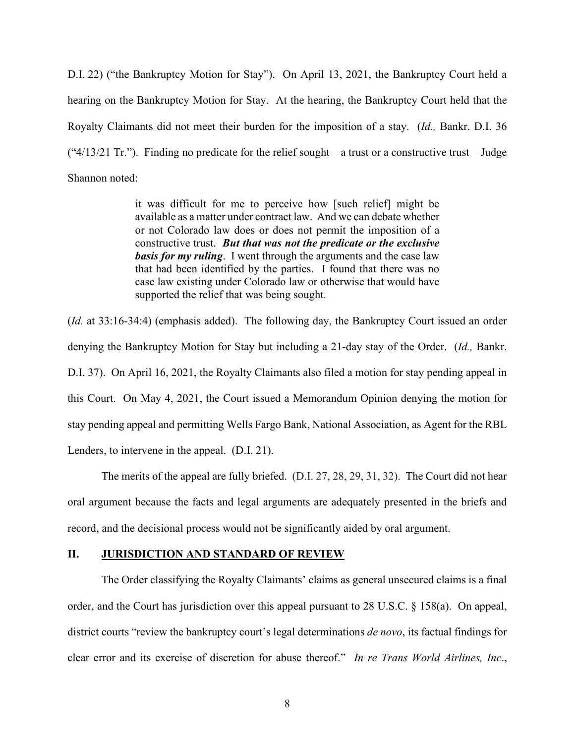D.I. 22) ("the Bankruptcy Motion for Stay"). On April 13, 2021, the Bankruptcy Court held a hearing on the Bankruptcy Motion for Stay. At the hearing, the Bankruptcy Court held that the Royalty Claimants did not meet their burden for the imposition of a stay. (*Id.,* Bankr. D.I. 36 (" $4/13/21$  Tr."). Finding no predicate for the relief sought – a trust or a constructive trust – Judge Shannon noted:

> it was difficult for me to perceive how [such relief] might be available as a matter under contract law. And we can debate whether or not Colorado law does or does not permit the imposition of a constructive trust. *But that was not the predicate or the exclusive basis for my ruling*. I went through the arguments and the case law that had been identified by the parties. I found that there was no case law existing under Colorado law or otherwise that would have supported the relief that was being sought.

(*Id.* at 33:16-34:4) (emphasis added). The following day, the Bankruptcy Court issued an order denying the Bankruptcy Motion for Stay but including a 21-day stay of the Order. (*Id.,* Bankr. D.I. 37). On April 16, 2021, the Royalty Claimants also filed a motion for stay pending appeal in this Court. On May 4, 2021, the Court issued a Memorandum Opinion denying the motion for stay pending appeal and permitting Wells Fargo Bank, National Association, as Agent for the RBL Lenders, to intervene in the appeal. (D.I. 21).

The merits of the appeal are fully briefed. (D.I. 27, 28, 29, 31, 32). The Court did not hear oral argument because the facts and legal arguments are adequately presented in the briefs and record, and the decisional process would not be significantly aided by oral argument.

## **II. JURISDICTION AND STANDARD OF REVIEW**

The Order classifying the Royalty Claimants' claims as general unsecured claims is a final order, and the Court has jurisdiction over this appeal pursuant to 28 U.S.C. § 158(a). On appeal, district courts "review the bankruptcy court's legal determinations *de novo*, its factual findings for clear error and its exercise of discretion for abuse thereof." *In re Trans World Airlines, Inc*.,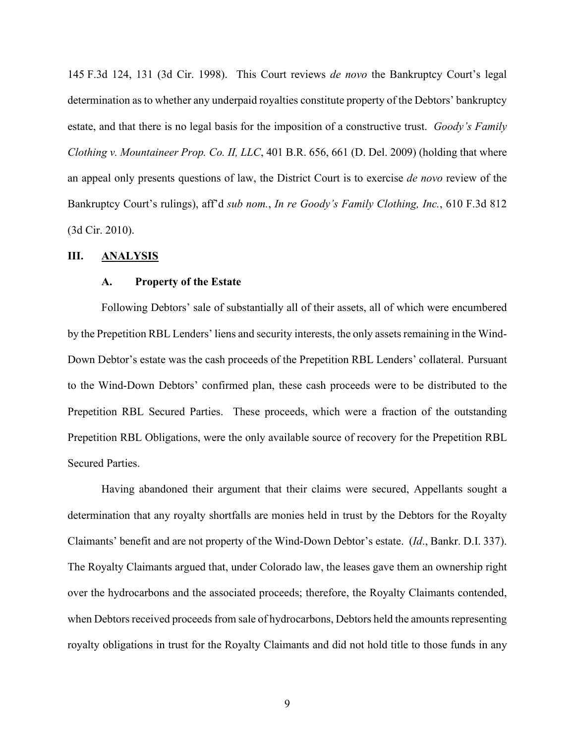145 F.3d 124, 131 (3d Cir. 1998). This Court reviews *de novo* the Bankruptcy Court's legal determination as to whether any underpaid royalties constitute property of the Debtors' bankruptcy estate, and that there is no legal basis for the imposition of a constructive trust. *Goody's Family Clothing v. Mountaineer Prop. Co. II, LLC*, 401 B.R. 656, 661 (D. Del. 2009) (holding that where an appeal only presents questions of law, the District Court is to exercise *de novo* review of the Bankruptcy Court's rulings), aff'd *sub nom.*, *In re Goody's Family Clothing, Inc.*, 610 F.3d 812 (3d Cir. 2010).

## **III. ANALYSIS**

#### **A. Property of the Estate**

Following Debtors' sale of substantially all of their assets, all of which were encumbered by the Prepetition RBL Lenders' liens and security interests, the only assets remaining in the Wind-Down Debtor's estate was the cash proceeds of the Prepetition RBL Lenders' collateral. Pursuant to the Wind-Down Debtors' confirmed plan, these cash proceeds were to be distributed to the Prepetition RBL Secured Parties. These proceeds, which were a fraction of the outstanding Prepetition RBL Obligations, were the only available source of recovery for the Prepetition RBL Secured Parties.

Having abandoned their argument that their claims were secured, Appellants sought a determination that any royalty shortfalls are monies held in trust by the Debtors for the Royalty Claimants' benefit and are not property of the Wind-Down Debtor's estate. (*Id*., Bankr. D.I. 337). The Royalty Claimants argued that, under Colorado law, the leases gave them an ownership right over the hydrocarbons and the associated proceeds; therefore, the Royalty Claimants contended, when Debtors received proceeds from sale of hydrocarbons, Debtors held the amounts representing royalty obligations in trust for the Royalty Claimants and did not hold title to those funds in any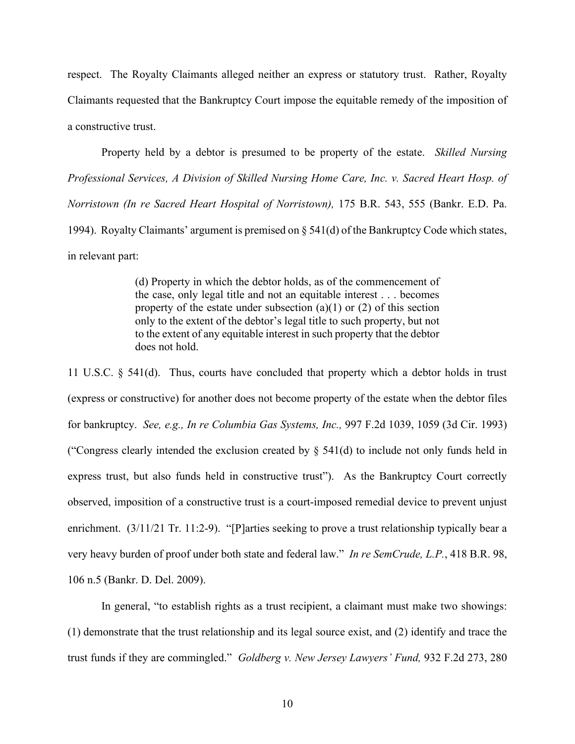respect. The Royalty Claimants alleged neither an express or statutory trust. Rather, Royalty Claimants requested that the Bankruptcy Court impose the equitable remedy of the imposition of a constructive trust.

Property held by a debtor is presumed to be property of the estate. *Skilled Nursing Professional Services, A Division of Skilled Nursing Home Care, Inc. v. Sacred Heart Hosp. of Norristown (In re Sacred Heart Hospital of Norristown),* 175 B.R. 543, 555 (Bankr. E.D. Pa. 1994). Royalty Claimants' argument is premised on § 541(d) of the Bankruptcy Code which states, in relevant part:

> (d) Property in which the debtor holds, as of the commencement of the case, only legal title and not an equitable interest . . . becomes property of the estate under subsection  $(a)(1)$  or  $(2)$  of this section only to the extent of the debtor's legal title to such property, but not to the extent of any equitable interest in such property that the debtor does not hold.

11 U.S.C. § 541(d). Thus, courts have concluded that property which a debtor holds in trust (express or constructive) for another does not become property of the estate when the debtor files for bankruptcy. *See, e.g., In re Columbia Gas Systems, Inc.,* 997 F.2d 1039, 1059 (3d Cir. 1993) ("Congress clearly intended the exclusion created by  $\S$  541(d) to include not only funds held in express trust, but also funds held in constructive trust"). As the Bankruptcy Court correctly observed, imposition of a constructive trust is a court-imposed remedial device to prevent unjust enrichment. (3/11/21 Tr. 11:2-9). "[P]arties seeking to prove a trust relationship typically bear a very heavy burden of proof under both state and federal law." *In re SemCrude, L.P.*, 418 B.R. 98, 106 n.5 (Bankr. D. Del. 2009).

In general, "to establish rights as a trust recipient, a claimant must make two showings: (1) demonstrate that the trust relationship and its legal source exist, and (2) identify and trace the trust funds if they are commingled." *Goldberg v. New Jersey Lawyers' Fund,* 932 F.2d 273, 280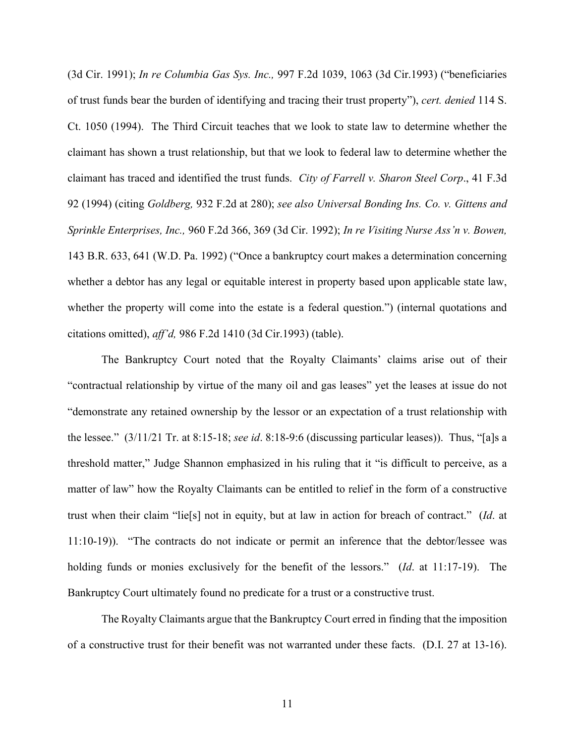(3d Cir. 1991); *In re Columbia Gas Sys. Inc.,* 997 F.2d 1039, 1063 (3d Cir.1993) ("beneficiaries of trust funds bear the burden of identifying and tracing their trust property"), *cert. denied* 114 S. Ct. 1050 (1994). The Third Circuit teaches that we look to state law to determine whether the claimant has shown a trust relationship, but that we look to federal law to determine whether the claimant has traced and identified the trust funds. *City of Farrell v. Sharon Steel Corp*., 41 F.3d 92 (1994) (citing *Goldberg,* 932 F.2d at 280); *see also Universal Bonding Ins. Co. v. Gittens and Sprinkle Enterprises, Inc.,* 960 F.2d 366, 369 (3d Cir. 1992); *In re Visiting Nurse Ass'n v. Bowen,*  143 B.R. 633, 641 (W.D. Pa. 1992) ("Once a bankruptcy court makes a determination concerning whether a debtor has any legal or equitable interest in property based upon applicable state law, whether the property will come into the estate is a federal question.") (internal quotations and citations omitted), *aff'd,* 986 F.2d 1410 (3d Cir.1993) (table).

The Bankruptcy Court noted that the Royalty Claimants' claims arise out of their "contractual relationship by virtue of the many oil and gas leases" yet the leases at issue do not "demonstrate any retained ownership by the lessor or an expectation of a trust relationship with the lessee." (3/11/21 Tr. at 8:15-18; *see id*. 8:18-9:6 (discussing particular leases)). Thus, "[a]s a threshold matter," Judge Shannon emphasized in his ruling that it "is difficult to perceive, as a matter of law" how the Royalty Claimants can be entitled to relief in the form of a constructive trust when their claim "lie[s] not in equity, but at law in action for breach of contract." (*Id*. at 11:10-19)). "The contracts do not indicate or permit an inference that the debtor/lessee was holding funds or monies exclusively for the benefit of the lessors." (*Id*. at 11:17-19). The Bankruptcy Court ultimately found no predicate for a trust or a constructive trust.

The Royalty Claimants argue that the Bankruptcy Court erred in finding that the imposition of a constructive trust for their benefit was not warranted under these facts. (D.I. 27 at 13-16).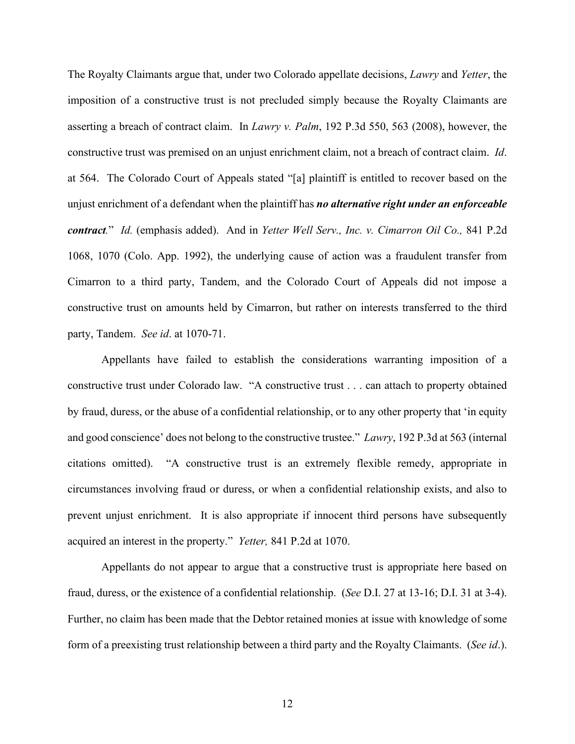The Royalty Claimants argue that, under two Colorado appellate decisions, *Lawry* and *Yetter*, the imposition of a constructive trust is not precluded simply because the Royalty Claimants are asserting a breach of contract claim. In *Lawry v. Palm*, 192 P.3d 550, 563 (2008), however, the constructive trust was premised on an unjust enrichment claim, not a breach of contract claim. *Id*. at 564. The Colorado Court of Appeals stated "[a] plaintiff is entitled to recover based on the unjust enrichment of a defendant when the plaintiff has *no alternative right under an enforceable contract.*" *Id.* (emphasis added). And in *Yetter Well Serv., Inc. v. Cimarron Oil Co.,* 841 P.2d 1068, 1070 (Colo. App. 1992), the underlying cause of action was a fraudulent transfer from Cimarron to a third party, Tandem, and the Colorado Court of Appeals did not impose a constructive trust on amounts held by Cimarron, but rather on interests transferred to the third party, Tandem. *See id*. at 1070-71.

Appellants have failed to establish the considerations warranting imposition of a constructive trust under Colorado law. "A constructive trust . . . can attach to property obtained by fraud, duress, or the abuse of a confidential relationship, or to any other property that 'in equity and good conscience' does not belong to the constructive trustee." *Lawry*, 192 P.3d at 563 (internal citations omitted). "A constructive trust is an extremely flexible remedy, appropriate in circumstances involving fraud or duress, or when a confidential relationship exists, and also to prevent unjust enrichment. It is also appropriate if innocent third persons have subsequently acquired an interest in the property." *Yetter,* 841 P.2d at 1070.

Appellants do not appear to argue that a constructive trust is appropriate here based on fraud, duress, or the existence of a confidential relationship. (*See* D.I. 27 at 13-16; D.I. 31 at 3-4). Further, no claim has been made that the Debtor retained monies at issue with knowledge of some form of a preexisting trust relationship between a third party and the Royalty Claimants. (*See id*.).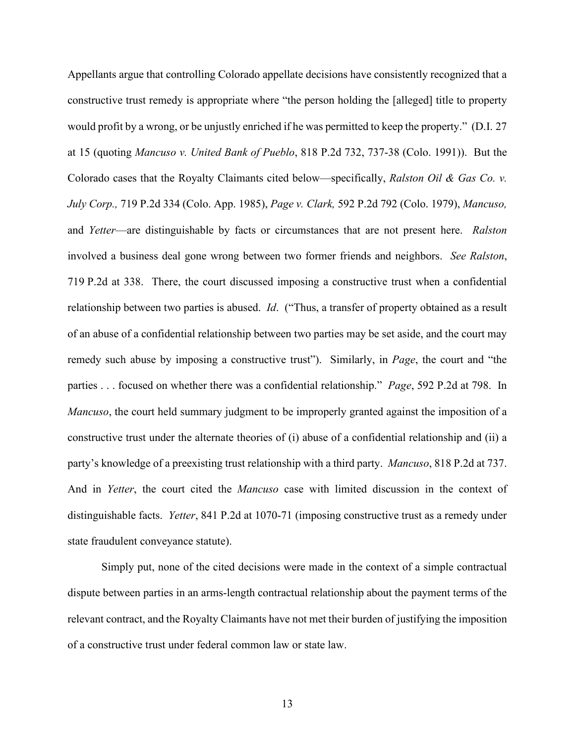Appellants argue that controlling Colorado appellate decisions have consistently recognized that a constructive trust remedy is appropriate where "the person holding the [alleged] title to property would profit by a wrong, or be unjustly enriched if he was permitted to keep the property." (D.I. 27 at 15 (quoting *Mancuso v. United Bank of Pueblo*, 818 P.2d 732, 737-38 (Colo. 1991)). But the Colorado cases that the Royalty Claimants cited below—specifically, *Ralston Oil & Gas Co. v. July Corp.,* 719 P.2d 334 (Colo. App. 1985), *Page v. Clark,* 592 P.2d 792 (Colo. 1979), *Mancuso,*  and *Yetter*—are distinguishable by facts or circumstances that are not present here. *Ralston*  involved a business deal gone wrong between two former friends and neighbors. *See Ralston*, 719 P.2d at 338. There, the court discussed imposing a constructive trust when a confidential relationship between two parties is abused. *Id*. ("Thus, a transfer of property obtained as a result of an abuse of a confidential relationship between two parties may be set aside, and the court may remedy such abuse by imposing a constructive trust"). Similarly, in *Page*, the court and "the parties . . . focused on whether there was a confidential relationship." *Page*, 592 P.2d at 798. In *Mancuso*, the court held summary judgment to be improperly granted against the imposition of a constructive trust under the alternate theories of (i) abuse of a confidential relationship and (ii) a party's knowledge of a preexisting trust relationship with a third party. *Mancuso*, 818 P.2d at 737. And in *Yetter*, the court cited the *Mancuso* case with limited discussion in the context of distinguishable facts. *Yetter*, 841 P.2d at 1070-71 (imposing constructive trust as a remedy under state fraudulent conveyance statute).

Simply put, none of the cited decisions were made in the context of a simple contractual dispute between parties in an arms-length contractual relationship about the payment terms of the relevant contract, and the Royalty Claimants have not met their burden of justifying the imposition of a constructive trust under federal common law or state law.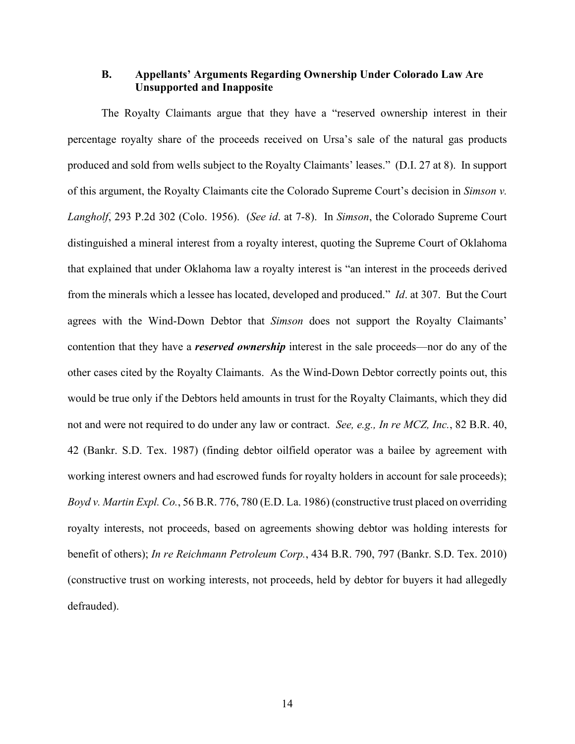# **B. Appellants' Arguments Regarding Ownership Under Colorado Law Are Unsupported and Inapposite**

The Royalty Claimants argue that they have a "reserved ownership interest in their percentage royalty share of the proceeds received on Ursa's sale of the natural gas products produced and sold from wells subject to the Royalty Claimants' leases." (D.I. 27 at 8). In support of this argument, the Royalty Claimants cite the Colorado Supreme Court's decision in *Simson v. Langholf*, 293 P.2d 302 (Colo. 1956). (*See id*. at 7-8). In *Simson*, the Colorado Supreme Court distinguished a mineral interest from a royalty interest, quoting the Supreme Court of Oklahoma that explained that under Oklahoma law a royalty interest is "an interest in the proceeds derived from the minerals which a lessee has located, developed and produced." *Id*. at 307. But the Court agrees with the Wind-Down Debtor that *Simson* does not support the Royalty Claimants' contention that they have a *reserved ownership* interest in the sale proceeds—nor do any of the other cases cited by the Royalty Claimants. As the Wind-Down Debtor correctly points out, this would be true only if the Debtors held amounts in trust for the Royalty Claimants, which they did not and were not required to do under any law or contract. *See, e.g., In re MCZ, Inc.*, 82 B.R. 40, 42 (Bankr. S.D. Tex. 1987) (finding debtor oilfield operator was a bailee by agreement with working interest owners and had escrowed funds for royalty holders in account for sale proceeds); *Boyd v. Martin Expl. Co.*, 56 B.R. 776, 780 (E.D. La. 1986) (constructive trust placed on overriding royalty interests, not proceeds, based on agreements showing debtor was holding interests for benefit of others); *In re Reichmann Petroleum Corp.*, 434 B.R. 790, 797 (Bankr. S.D. Tex. 2010) (constructive trust on working interests, not proceeds, held by debtor for buyers it had allegedly defrauded).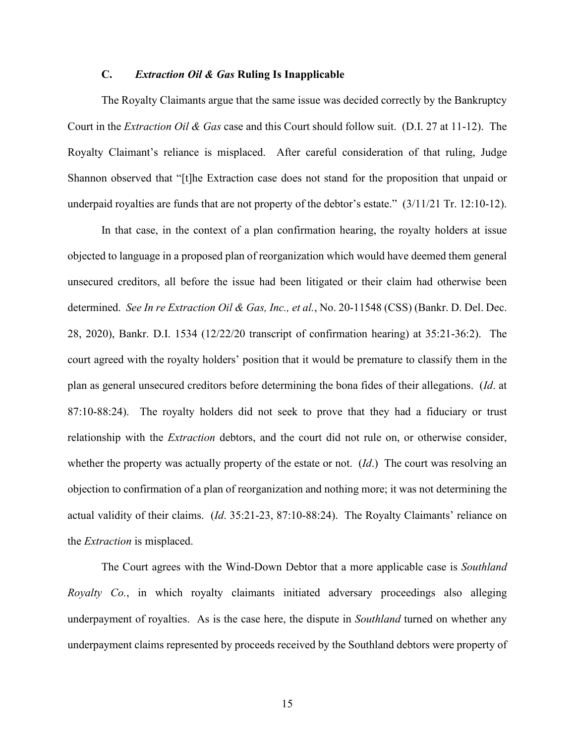## **C.** *Extraction Oil & Gas* **Ruling Is Inapplicable**

The Royalty Claimants argue that the same issue was decided correctly by the Bankruptcy Court in the *Extraction Oil & Gas* case and this Court should follow suit. (D.I. 27 at 11-12). The Royalty Claimant's reliance is misplaced. After careful consideration of that ruling, Judge Shannon observed that "[t]he Extraction case does not stand for the proposition that unpaid or underpaid royalties are funds that are not property of the debtor's estate." (3/11/21 Tr. 12:10-12).

In that case, in the context of a plan confirmation hearing, the royalty holders at issue objected to language in a proposed plan of reorganization which would have deemed them general unsecured creditors, all before the issue had been litigated or their claim had otherwise been determined. *See In re Extraction Oil & Gas, Inc., et al.*, No. 20-11548 (CSS) (Bankr. D. Del. Dec. 28, 2020), Bankr. D.I. 1534 (12/22/20 transcript of confirmation hearing) at 35:21-36:2). The court agreed with the royalty holders' position that it would be premature to classify them in the plan as general unsecured creditors before determining the bona fides of their allegations. (*Id*. at 87:10-88:24). The royalty holders did not seek to prove that they had a fiduciary or trust relationship with the *Extraction* debtors, and the court did not rule on, or otherwise consider, whether the property was actually property of the estate or not. (*Id*.) The court was resolving an objection to confirmation of a plan of reorganization and nothing more; it was not determining the actual validity of their claims. (*Id*. 35:21-23, 87:10-88:24). The Royalty Claimants' reliance on the *Extraction* is misplaced.

The Court agrees with the Wind-Down Debtor that a more applicable case is *Southland Royalty Co.*, in which royalty claimants initiated adversary proceedings also alleging underpayment of royalties. As is the case here, the dispute in *Southland* turned on whether any underpayment claims represented by proceeds received by the Southland debtors were property of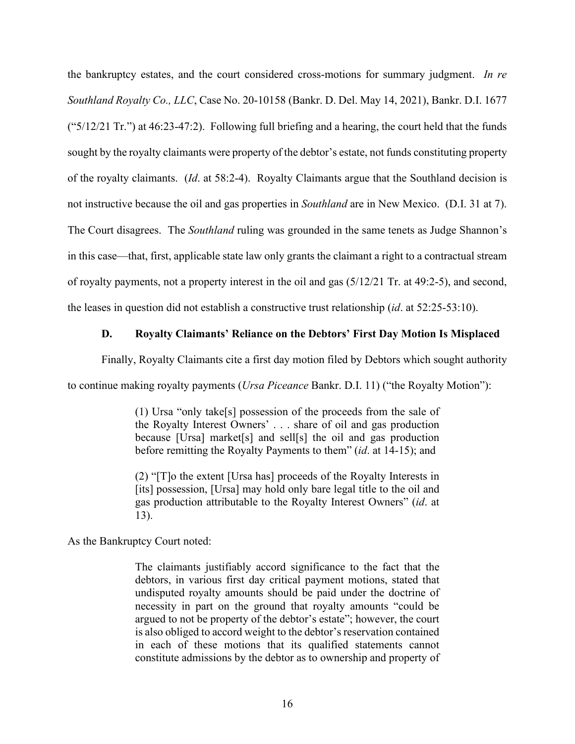the bankruptcy estates, and the court considered cross-motions for summary judgment. *In re Southland Royalty Co., LLC*, Case No. 20-10158 (Bankr. D. Del. May 14, 2021), Bankr. D.I. 1677 (" $5/12/21$  Tr.") at 46:23-47:2). Following full briefing and a hearing, the court held that the funds sought by the royalty claimants were property of the debtor's estate, not funds constituting property of the royalty claimants. (*Id*. at 58:2-4). Royalty Claimants argue that the Southland decision is not instructive because the oil and gas properties in *Southland* are in New Mexico. (D.I. 31 at 7). The Court disagrees. The *Southland* ruling was grounded in the same tenets as Judge Shannon's in this case—that, first, applicable state law only grants the claimant a right to a contractual stream of royalty payments, not a property interest in the oil and gas (5/12/21 Tr. at 49:2-5), and second, the leases in question did not establish a constructive trust relationship (*id*. at 52:25-53:10).

## **D. Royalty Claimants' Reliance on the Debtors' First Day Motion Is Misplaced**

Finally, Royalty Claimants cite a first day motion filed by Debtors which sought authority

to continue making royalty payments (*Ursa Piceance* Bankr. D.I. 11) ("the Royalty Motion"):

(1) Ursa "only take[s] possession of the proceeds from the sale of the Royalty Interest Owners' . . . share of oil and gas production because [Ursa] market[s] and sell[s] the oil and gas production before remitting the Royalty Payments to them" (*id*. at 14-15); and

(2) "[T]o the extent [Ursa has] proceeds of the Royalty Interests in [its] possession, [Ursa] may hold only bare legal title to the oil and gas production attributable to the Royalty Interest Owners" (*id*. at 13).

As the Bankruptcy Court noted:

The claimants justifiably accord significance to the fact that the debtors, in various first day critical payment motions, stated that undisputed royalty amounts should be paid under the doctrine of necessity in part on the ground that royalty amounts "could be argued to not be property of the debtor's estate"; however, the court is also obliged to accord weight to the debtor's reservation contained in each of these motions that its qualified statements cannot constitute admissions by the debtor as to ownership and property of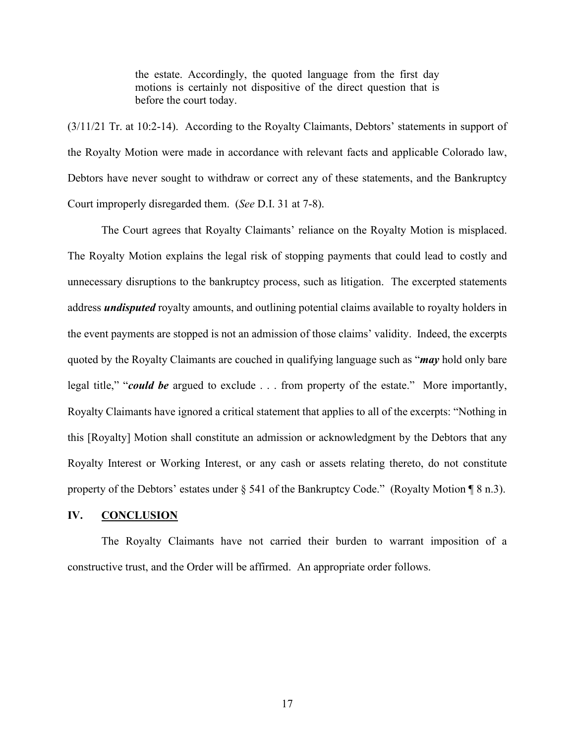the estate. Accordingly, the quoted language from the first day motions is certainly not dispositive of the direct question that is before the court today.

(3/11/21 Tr. at 10:2-14). According to the Royalty Claimants, Debtors' statements in support of the Royalty Motion were made in accordance with relevant facts and applicable Colorado law, Debtors have never sought to withdraw or correct any of these statements, and the Bankruptcy Court improperly disregarded them. (*See* D.I. 31 at 7-8).

The Court agrees that Royalty Claimants' reliance on the Royalty Motion is misplaced. The Royalty Motion explains the legal risk of stopping payments that could lead to costly and unnecessary disruptions to the bankruptcy process, such as litigation. The excerpted statements address *undisputed* royalty amounts, and outlining potential claims available to royalty holders in the event payments are stopped is not an admission of those claims' validity. Indeed, the excerpts quoted by the Royalty Claimants are couched in qualifying language such as "*may* hold only bare legal title," "*could be* argued to exclude . . . from property of the estate." More importantly, Royalty Claimants have ignored a critical statement that applies to all of the excerpts: "Nothing in this [Royalty] Motion shall constitute an admission or acknowledgment by the Debtors that any Royalty Interest or Working Interest, or any cash or assets relating thereto, do not constitute property of the Debtors' estates under § 541 of the Bankruptcy Code." (Royalty Motion ¶ 8 n.3).

## **IV. CONCLUSION**

The Royalty Claimants have not carried their burden to warrant imposition of a constructive trust, and the Order will be affirmed. An appropriate order follows.